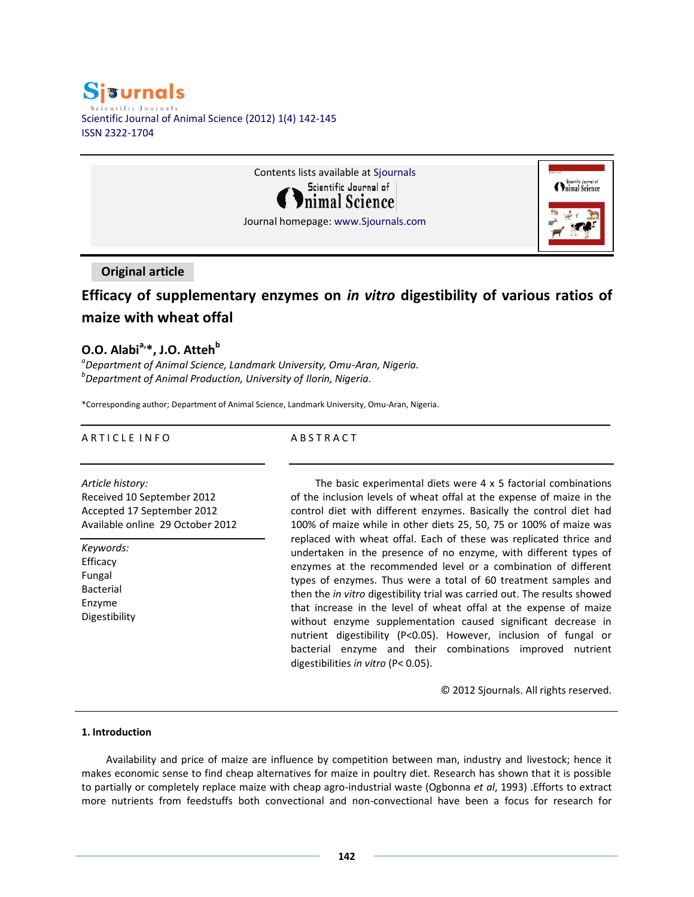# **Sisurnals** entific Iournals Scientific Journal of Animal Science (2012) 1(4) 142-145 ISSN 2322-1704



## **Original article**

# **Efficacy of supplementary enzymes on** *in vitro* **digestibility of various ratios of maize with wheat offal**

## **O.O. Alabia,\*, J.O. Atteh<sup>b</sup>**

*a Department of Animal Science, Landmark University, Omu-Aran, Nigeria. b Department of Animal Production, University of Ilorin, Nigeria.*

\*Corresponding author; Department of Animal Science, Landmark University, Omu-Aran, Nigeria.

### A R T I C L E IN FO

### **ABSTRACT**

*Article history:* Received 10 September 2012 Accepted 17 September 2012 Available online 29 October 2012

*Keywords:* Efficacy Fungal Bacterial Enzyme Digestibility

The basic experimental diets were 4 x 5 factorial combinations of the inclusion levels of wheat offal at the expense of maize in the control diet with different enzymes. Basically the control diet had 100% of maize while in other diets 25, 50, 75 or 100% of maize was replaced with wheat offal. Each of these was replicated thrice and undertaken in the presence of no enzyme, with different types of enzymes at the recommended level or a combination of different types of enzymes. Thus were a total of 60 treatment samples and then the *in vitro* digestibility trial was carried out. The results showed that increase in the level of wheat offal at the expense of maize without enzyme supplementation caused significant decrease in nutrient digestibility (P<0.05). However, inclusion of fungal or bacterial enzyme and their combinations improved nutrient digestibilities *in vitro* (P< 0.05).

© 2012 Sjournals. All rights reserved.

#### **1. Introduction**

Availability and price of maize are influence by competition between man, industry and livestock; hence it makes economic sense to find cheap alternatives for maize in poultry diet. Research has shown that it is possible to partially or completely replace maize with cheap agro-industrial waste (Ogbonna *et al*, 1993) .Efforts to extract more nutrients from feedstuffs both convectional and non-convectional have been a focus for research for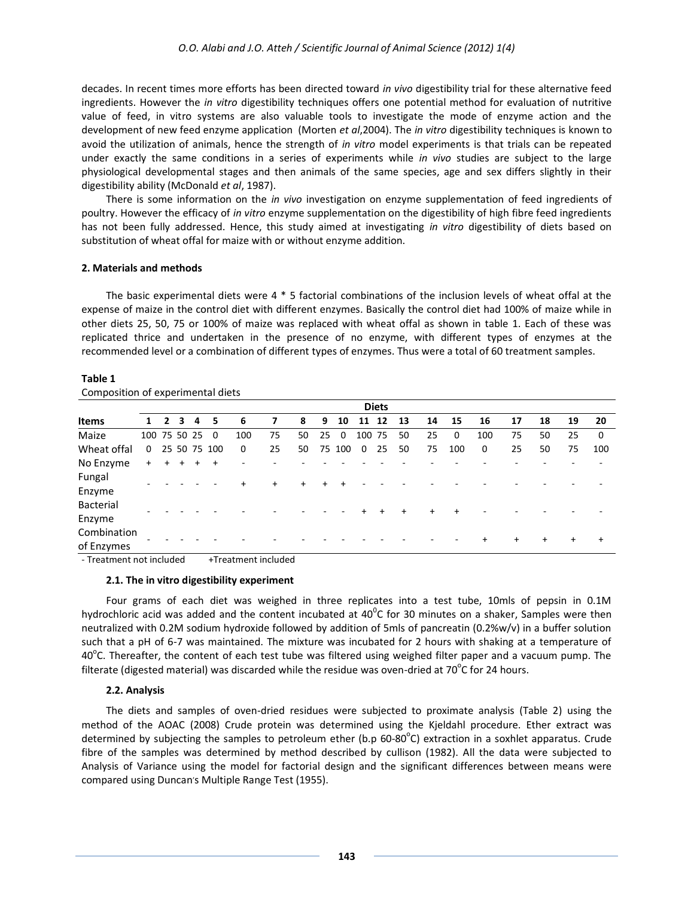decades. In recent times more efforts has been directed toward *in vivo* digestibility trial for these alternative feed ingredients. However the *in vitro* digestibility techniques offers one potential method for evaluation of nutritive value of feed, in vitro systems are also valuable tools to investigate the mode of enzyme action and the development of new feed enzyme application (Morten *et al*,2004). The *in vitro* digestibility techniques is known to avoid the utilization of animals, hence the strength of *in vitro* model experiments is that trials can be repeated under exactly the same conditions in a series of experiments while *in vivo* studies are subject to the large physiological developmental stages and then animals of the same species, age and sex differs slightly in their digestibility ability (McDonald *et al*, 1987).

There is some information on the *in vivo* investigation on enzyme supplementation of feed ingredients of poultry. However the efficacy of *in vitro* enzyme supplementation on the digestibility of high fibre feed ingredients has not been fully addressed. Hence, this study aimed at investigating *in vitro* digestibility of diets based on substitution of wheat offal for maize with or without enzyme addition.

### **2. Materials and methods**

The basic experimental diets were 4 \* 5 factorial combinations of the inclusion levels of wheat offal at the expense of maize in the control diet with different enzymes. Basically the control diet had 100% of maize while in other diets 25, 50, 75 or 100% of maize was replaced with wheat offal as shown in table 1. Each of these was replicated thrice and undertaken in the presence of no enzyme, with different types of enzymes at the recommended level or a combination of different types of enzymes. Thus were a total of 60 treatment samples.

#### **Table 1**

| composition or experimental dicts |                |                |           |     |              |     |     |     |     |             |                |     |           |     |           |           |     |     |     |             |
|-----------------------------------|----------------|----------------|-----------|-----|--------------|-----|-----|-----|-----|-------------|----------------|-----|-----------|-----|-----------|-----------|-----|-----|-----|-------------|
|                                   | <b>Diets</b>   |                |           |     |              |     |     |     |     |             |                |     |           |     |           |           |     |     |     |             |
| <b>Items</b>                      | 1              | $\overline{2}$ | 3         | 4   | 5            | 6   | 7   | 8   | 9   | 10          | 11 12          |     | 13        | 14  | 15        | 16        | 17  | 18  | 19  | 20          |
| Maize                             | 100 75 50 25 0 |                |           |     |              | 100 | 75  | 50  | 25  | $\mathbf 0$ | 100 75         |     | 50        | 25  | 0         | 100       | 75  | 50  | 25  | $\mathbf 0$ |
| Wheat offal                       | $\Omega$       |                |           |     | 25 50 75 100 | 0   | 25  | 50  |     | 75 100      | $\overline{0}$ | 25  | 50        | 75  | 100       | 0         | 25  | 50  | 75  | 100         |
| No Enzyme                         | $+$            | $+$            | $\ddot{}$ | $+$ | $+$          |     |     |     |     |             |                |     |           |     |           |           |     |     |     |             |
| Fungal<br>Enzyme                  |                |                |           |     |              | $+$ | $+$ | $+$ | $+$ | $+$         |                |     |           |     |           |           |     |     |     |             |
| Bacterial<br>Enzyme               |                |                |           |     |              |     |     |     |     |             | $\pm$          | $+$ | $\ddot{}$ | $+$ | $\ddot{}$ |           |     |     |     |             |
| Combination<br>of Enzymes         |                |                |           |     |              |     |     |     |     |             |                |     |           |     |           | $\ddot{}$ | $+$ | $+$ | $+$ | $\ddot{}$   |

Composition of experimental diets

- Treatment not included +Treatment included

### **2.1. The in vitro digestibility experiment**

Four grams of each diet was weighed in three replicates into a test tube, 10mls of pepsin in 0.1M hydrochloric acid was added and the content incubated at 40<sup>o</sup>C for 30 minutes on a shaker, Samples were then neutralized with 0.2M sodium hydroxide followed by addition of 5mls of pancreatin (0.2%w/v) in a buffer solution such that a pH of 6-7 was maintained. The mixture was incubated for 2 hours with shaking at a temperature of 40<sup>o</sup>C. Thereafter, the content of each test tube was filtered using weighed filter paper and a vacuum pump. The filterate (digested material) was discarded while the residue was oven-dried at 70<sup>o</sup>C for 24 hours.

### **2.2. Analysis**

The diets and samples of oven-dried residues were subjected to proximate analysis (Table 2) using the method of the AOAC (2008) Crude protein was determined using the Kjeldahl procedure. Ether extract was determined by subjecting the samples to petroleum ether (b.p 60-80 $^{\circ}$ C) extraction in a soxhlet apparatus. Crude fibre of the samples was determined by method described by cullison (1982). All the data were subjected to Analysis of Variance using the model for factorial design and the significant differences between means were compared using Duncan's Multiple Range Test (1955).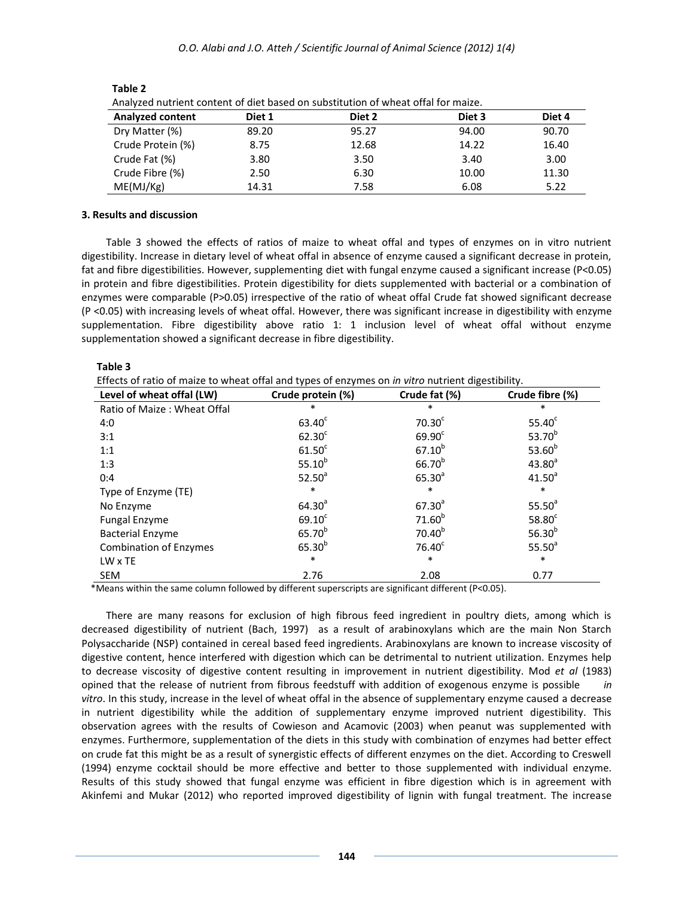*O.O. Alabi and J.O. Atteh / Scientific Journal of Animal Science (2012) 1(4)*

| Analyzed Huthelit Content of the based on substitution of wheat onal for marze. |        |        |        |        |  |  |  |  |
|---------------------------------------------------------------------------------|--------|--------|--------|--------|--|--|--|--|
| <b>Analyzed content</b>                                                         | Diet 1 | Diet 2 | Diet 3 | Diet 4 |  |  |  |  |
| Dry Matter (%)                                                                  | 89.20  | 95.27  | 94.00  | 90.70  |  |  |  |  |
| Crude Protein (%)                                                               | 8.75   | 12.68  | 14.22  | 16.40  |  |  |  |  |
| Crude Fat (%)                                                                   | 3.80   | 3.50   | 3.40   | 3.00   |  |  |  |  |
| Crude Fibre (%)                                                                 | 2.50   | 6.30   | 10.00  | 11.30  |  |  |  |  |
| ME(MJ/Kg)                                                                       | 14.31  | 7.58   | 6.08   | 5.22   |  |  |  |  |

 **Table 2**

Analyzed nutrient content of diet based on substitution of wheat offal for maize.

## **3. Results and discussion**

Table 3 showed the effects of ratios of maize to wheat offal and types of enzymes on in vitro nutrient digestibility. Increase in dietary level of wheat offal in absence of enzyme caused a significant decrease in protein, fat and fibre digestibilities. However, supplementing diet with fungal enzyme caused a significant increase (P<0.05) in protein and fibre digestibilities. Protein digestibility for diets supplemented with bacterial or a combination of enzymes were comparable (P>0.05) irrespective of the ratio of wheat offal Crude fat showed significant decrease (P <0.05) with increasing levels of wheat offal. However, there was significant increase in digestibility with enzyme supplementation. Fibre digestibility above ratio 1: 1 inclusion level of wheat offal without enzyme supplementation showed a significant decrease in fibre digestibility.

Effects of ratio of maize to wheat offal and types of enzymes on *in vitro* nutrient digestibility.

| Level of wheat offal (LW)     | Crude protein (%)  | Crude fat (%)      | Crude fibre (%)    |
|-------------------------------|--------------------|--------------------|--------------------|
| Ratio of Maize: Wheat Offal   | *                  | $\ast$             | *                  |
| 4:0                           | $63.40^c$          | 70.30 <sup>c</sup> | 55.40 <sup>c</sup> |
| 3:1                           | 62.30 <sup>c</sup> | 69.90 <sup>c</sup> | 53.70 <sup>b</sup> |
| 1:1                           | 61.50 <sup>c</sup> | $67.10^{b}$        | 53.60 $b$          |
| 1:3                           | $55.10^{b}$        | $66.70^{b}$        | $43.80^{a}$        |
| 0:4                           | 52.50 <sup>a</sup> | $65.30^{a}$        | $41.50^{a}$        |
| Type of Enzyme (TE)           | $\ast$             | $\ast$             | $\ast$             |
| No Enzyme                     | $64.30^{a}$        | $67.30^{a}$        | $55.50^{a}$        |
| Fungal Enzyme                 | 69.10 <sup>c</sup> | 71.60 <sup>b</sup> | 58.80 <sup>c</sup> |
| <b>Bacterial Enzyme</b>       | 65.70 <sup>b</sup> | $70.40^{b}$        | 56.30 $b$          |
| <b>Combination of Enzymes</b> | $65.30^{b}$        | 76.40 <sup>c</sup> | $55.50^{a}$        |
| LW x TE                       | $\ast$             | $\ast$             | $\ast$             |
| <b>SEM</b>                    | 2.76               | 2.08               | 0.77               |

\*Means within the same column followed by different superscripts are significant different (P<0.05).

There are many reasons for exclusion of high fibrous feed ingredient in poultry diets, among which is decreased digestibility of nutrient (Bach, 1997) as a result of arabinoxylans which are the main Non Starch Polysaccharide (NSP) contained in cereal based feed ingredients. Arabinoxylans are known to increase viscosity of digestive content, hence interfered with digestion which can be detrimental to nutrient utilization. Enzymes help to decrease viscosity of digestive content resulting in improvement in nutrient digestibility. Mod *et al* (1983) opined that the release of nutrient from fibrous feedstuff with addition of exogenous enzyme is possible *in vitro*. In this study, increase in the level of wheat offal in the absence of supplementary enzyme caused a decrease in nutrient digestibility while the addition of supplementary enzyme improved nutrient digestibility. This observation agrees with the results of Cowieson and Acamovic (2003) when peanut was supplemented with enzymes. Furthermore, supplementation of the diets in this study with combination of enzymes had better effect on crude fat this might be as a result of synergistic effects of different enzymes on the diet. According to Creswell (1994) enzyme cocktail should be more effective and better to those supplemented with individual enzyme. Results of this study showed that fungal enzyme was efficient in fibre digestion which is in agreement with Akinfemi and Mukar (2012) who reported improved digestibility of lignin with fungal treatment. The increase